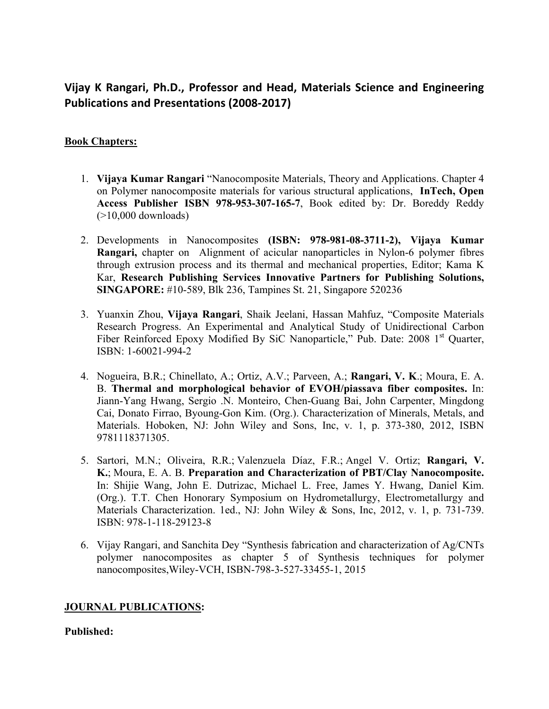# **Vijay K Rangari, Ph.D., Professor and Head, Materials Science and Engineering Publications and Presentations (2008‐2017)**

## **Book Chapters:**

- 1. **Vijaya Kumar Rangari** "Nanocomposite Materials, Theory and Applications. Chapter 4 on Polymer nanocomposite materials for various structural applications, **InTech, Open Access Publisher ISBN 978-953-307-165-7**, Book edited by: Dr. Boreddy Reddy  $(>10,000$  downloads)
- 2. Developments in Nanocomposites **(ISBN: 978-981-08-3711-2), Vijaya Kumar Rangari,** chapter on Alignment of acicular nanoparticles in Nylon-6 polymer fibres through extrusion process and its thermal and mechanical properties, Editor; Kama K Kar, **Research Publishing Services Innovative Partners for Publishing Solutions, SINGAPORE:** #10-589, Blk 236, Tampines St. 21, Singapore 520236
- 3. Yuanxin Zhou, **Vijaya Rangari**, Shaik Jeelani, Hassan Mahfuz, "Composite Materials Research Progress. An Experimental and Analytical Study of Unidirectional Carbon Fiber Reinforced Epoxy Modified By SiC Nanoparticle," Pub. Date: 2008 1<sup>st</sup> Quarter, ISBN: 1-60021-994-2
- 4. Nogueira, B.R.; Chinellato, A.; Ortiz, A.V.; Parveen, A.; **Rangari, V. K**.; Moura, E. A. B. **Thermal and morphological behavior of EVOH/piassava fiber composites.** In: Jiann-Yang Hwang, Sergio .N. Monteiro, Chen-Guang Bai, John Carpenter, Mingdong Cai, Donato Firrao, Byoung-Gon Kim. (Org.). Characterization of Minerals, Metals, and Materials. Hoboken, NJ: John Wiley and Sons, Inc, v. 1, p. 373-380, 2012, ISBN 9781118371305.
- 5. Sartori, M.N.; Oliveira, R.R.; Valenzuela Díaz, F.R.; Angel V. Ortiz; **Rangari, V. K.**; Moura, E. A. B. **Preparation and Characterization of PBT/Clay Nanocomposite.** In: Shijie Wang, John E. Dutrizac, Michael L. Free, James Y. Hwang, Daniel Kim. (Org.). T.T. Chen Honorary Symposium on Hydrometallurgy, Electrometallurgy and Materials Characterization. 1ed., NJ: John Wiley & Sons, Inc, 2012, v. 1, p. 731-739. ISBN: 978-1-118-29123-8
- 6. Vijay Rangari, and Sanchita Dey "Synthesis fabrication and characterization of Ag/CNTs polymer nanocomposites as chapter 5 of Synthesis techniques for polymer nanocomposites,Wiley-VCH, ISBN-798-3-527-33455-1, 2015

## **JOURNAL PUBLICATIONS:**

#### **Published:**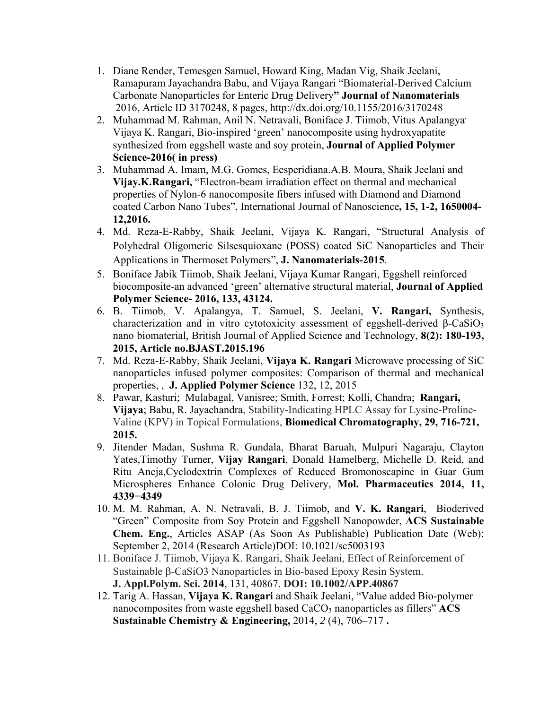- 1. Diane Render, Temesgen Samuel, Howard King, Madan Vig, Shaik Jeelani, Ramapuram Jayachandra Babu, and Vijaya Rangari "Biomaterial-Derived Calcium Carbonate Nanoparticles for Enteric Drug Delivery**" Journal of Nanomaterials** 2016, Article ID 3170248, 8 pages, http://dx.doi.org/10.1155/2016/3170248
- 2. Muhammad M. Rahman, Anil N. Netravali, Boniface J. Tiimob, Vitus Apalangya, Vijaya K. Rangari, Bio-inspired 'green' nanocomposite using hydroxyapatite synthesized from eggshell waste and soy protein, **Journal of Applied Polymer Science-2016( in press)**
- 3. Muhammad A. Imam, M.G. Gomes, Eesperidiana.A.B. Moura, Shaik Jeelani and **Vijay.K.Rangari,** "Electron-beam irradiation effect on thermal and mechanical properties of Nylon-6 nanocomposite fibers infused with Diamond and Diamond coated Carbon Nano Tubes", International Journal of Nanoscience**, 15, 1-2, 1650004- 12,2016.**
- 4. Md. Reza-E-Rabby, Shaik Jeelani, Vijaya K. Rangari, "Structural Analysis of Polyhedral Oligomeric Silsesquioxane (POSS) coated SiC Nanoparticles and Their Applications in Thermoset Polymers", **J. Nanomaterials-2015**.
- 5. Boniface Jabik Tiimob, Shaik Jeelani, Vijaya Kumar Rangari, Eggshell reinforced biocomposite-an advanced 'green' alternative structural material, **Journal of Applied Polymer Science- 2016, 133, 43124.**
- 6. B. Tiimob, V. Apalangya, T. Samuel, S. Jeelani, **V. Rangari,** Synthesis, characterization and in vitro cytotoxicity assessment of eggshell-derived  $\beta$ -CaSiO<sub>3</sub> nano biomaterial, British Journal of Applied Science and Technology, **8(2): 180-193, 2015, Article no.BJAST.2015.196**
- 7. Md. Reza-E-Rabby, Shaik Jeelani, **Vijaya K. Rangari** Microwave processing of SiC nanoparticles infused polymer composites: Comparison of thermal and mechanical properties, , **J. Applied Polymer Science** 132, 12, 2015
- 8. Pawar, Kasturi; Mulabagal, Vanisree; Smith, Forrest; Kolli, Chandra; **Rangari, Vijaya**; Babu, R. Jayachandra, Stability-Indicating HPLC Assay for Lysine-Proline-Valine (KPV) in Topical Formulations, **Biomedical Chromatography, 29, 716-721, 2015.**
- 9. Jitender Madan, Sushma R. Gundala, Bharat Baruah, Mulpuri Nagaraju, Clayton Yates,Timothy Turner, **Vijay Rangari**, Donald Hamelberg, Michelle D. Reid, and Ritu Aneja,Cyclodextrin Complexes of Reduced Bromonoscapine in Guar Gum Microspheres Enhance Colonic Drug Delivery, **Mol. Pharmaceutics 2014, 11, 4339−4349**
- 10. M. M. Rahman, A. N. Netravali, B. J. Tiimob, and **V. K. Rangari**, Bioderived "Green" Composite from Soy Protein and Eggshell Nanopowder, **ACS Sustainable Chem. Eng.**, Articles ASAP (As Soon As Publishable) Publication Date (Web): September 2, 2014 (Research Article)DOI: 10.1021/sc5003193
- 11. Boniface J. Tiimob, Vijaya K. Rangari, Shaik Jeelani, Effect of Reinforcement of Sustainable  $\beta$ -CaSiO3 Nanoparticles in Bio-based Epoxy Resin System. **J. Appl.Polym. Sci. 2014**, 131, 40867. **DOI: 10.1002/APP.40867**
- 12. Tarig A. Hassan, **Vijaya K. Rangari** and Shaik Jeelani, "Value added Bio-polymer nanocomposites from waste eggshell based CaCO<sub>3</sub> nanoparticles as fillers" ACS **Sustainable Chemistry & Engineering,** 2014, *2* (4), 706–717 **.**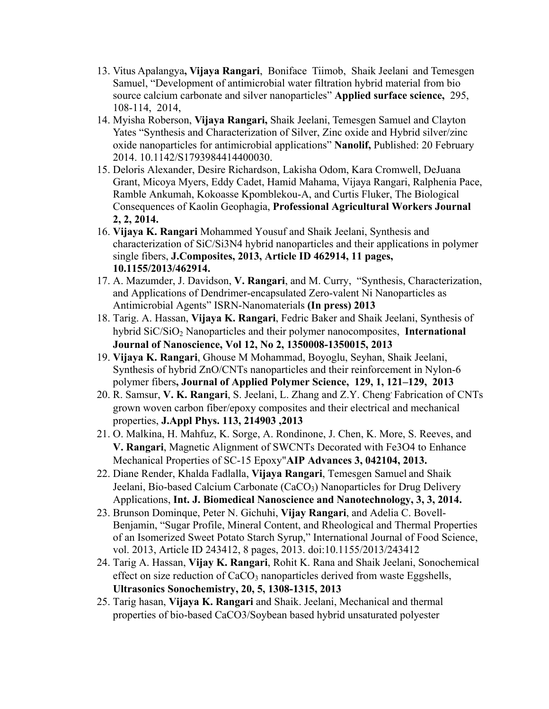- 13. Vitus Apalangya**, Vijaya Rangari**, Boniface Tiimob, Shaik Jeelani and Temesgen Samuel, "Development of antimicrobial water filtration hybrid material from bio source calcium carbonate and silver nanoparticles" **Applied surface science,** 295, 108-114, 2014,
- 14. Myisha Roberson, **Vijaya Rangari,** Shaik Jeelani, Temesgen Samuel and Clayton Yates "Synthesis and Characterization of Silver, Zinc oxide and Hybrid silver/zinc oxide nanoparticles for antimicrobial applications" **Nanolif,** Published: 20 February 2014. 10.1142/S1793984414400030.
- 15. Deloris Alexander, Desire Richardson, Lakisha Odom, Kara Cromwell, DeJuana Grant, Micoya Myers, Eddy Cadet, Hamid Mahama, Vijaya Rangari, Ralphenia Pace, Ramble Ankumah, Kokoasse Kpomblekou-A, and Curtis Fluker, The Biological Consequences of Kaolin Geophagia, **Professional Agricultural Workers Journal 2, 2, 2014.**
- 16. **Vijaya K. Rangari** Mohammed Yousuf and Shaik Jeelani, Synthesis and characterization of SiC/Si3N4 hybrid nanoparticles and their applications in polymer single fibers, **J.Composites, 2013, Article ID 462914, 11 pages, 10.1155/2013/462914.**
- 17. A. Mazumder, J. Davidson, **V. Rangari**, and M. Curry, "Synthesis, Characterization, and Applications of Dendrimer-encapsulated Zero-valent Ni Nanoparticles as Antimicrobial Agents" ISRN-Nanomaterials **(In press) 2013**
- 18. Tarig. A. Hassan, **Vijaya K. Rangari**, Fedric Baker and Shaik Jeelani, Synthesis of hybrid SiC/SiO<sub>2</sub> Nanoparticles and their polymer nanocomposites, **International Journal of Nanoscience, Vol 12, No 2, 1350008-1350015, 2013**
- 19. **Vijaya K. Rangari**, Ghouse M Mohammad, Boyoglu, Seyhan, Shaik Jeelani, Synthesis of hybrid ZnO/CNTs nanoparticles and their reinforcement in Nylon-6 polymer fibers**, Journal of Applied Polymer Science, 129, 1, 121–129, 2013**
- 20. R. Samsur, **V. K. Rangari**, S. Jeelani, L. Zhang and Z.Y. Cheng, Fabrication of CNTs grown woven carbon fiber/epoxy composites and their electrical and mechanical properties, **J.Appl Phys. 113, 214903 ,2013**
- 21. O. Malkina, H. Mahfuz, K. Sorge, A. Rondinone, J. Chen, K. More, S. Reeves, and **V. Rangari**, Magnetic Alignment of SWCNTs Decorated with Fe3O4 to Enhance Mechanical Properties of SC-15 Epoxy"**AIP Advances 3, 042104, 2013.**
- 22. Diane Render, Khalda Fadlalla, **Vijaya Rangari**, Temesgen Samuel and Shaik Jeelani, Bio-based Calcium Carbonate (CaCO<sub>3</sub>) Nanoparticles for Drug Delivery Applications, **Int. J. Biomedical Nanoscience and Nanotechnology, 3, 3, 2014.**
- 23. Brunson Dominque, Peter N. Gichuhi, **Vijay Rangari**, and Adelia C. Bovell-Benjamin, "Sugar Profile, Mineral Content, and Rheological and Thermal Properties of an Isomerized Sweet Potato Starch Syrup," International Journal of Food Science, vol. 2013, Article ID 243412, 8 pages, 2013. doi:10.1155/2013/243412
- 24. Tarig A. Hassan, **Vijay K. Rangari**, Rohit K. Rana and Shaik Jeelani, Sonochemical effect on size reduction of CaCO<sub>3</sub> nanoparticles derived from waste Eggshells, **Ultrasonics Sonochemistry, 20, 5, 1308-1315, 2013**
- 25. Tarig hasan, **Vijaya K. Rangari** and Shaik. Jeelani, Mechanical and thermal properties of bio-based CaCO3/Soybean based hybrid unsaturated polyester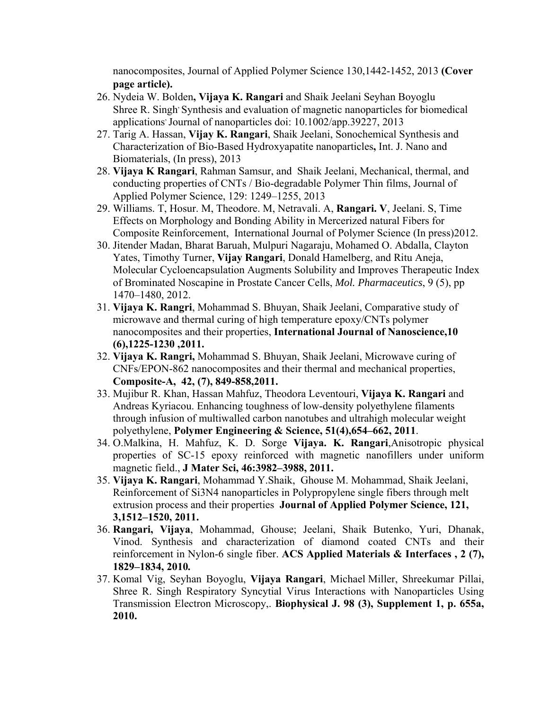nanocomposites, Journal of Applied Polymer Science 130,1442-1452, 2013 **(Cover page article).**

- 26. Nydeia W. Bolden**, Vijaya K. Rangari** and Shaik Jeelani Seyhan Boyoglu Shree R. Singh' Synthesis and evaluation of magnetic nanoparticles for biomedical applications<sup>,</sup> Journal of nanoparticles doi: 10.1002/app.39227, 2013
- 27. Tarig A. Hassan, **Vijay K. Rangari**, Shaik Jeelani, Sonochemical Synthesis and Characterization of Bio-Based Hydroxyapatite nanoparticles**,** Int. J. Nano and Biomaterials, (In press), 2013
- 28. **Vijaya K Rangari**, Rahman Samsur, and Shaik Jeelani, Mechanical, thermal, and conducting properties of CNTs / Bio-degradable Polymer Thin films, Journal of Applied Polymer Science, 129: 1249–1255, 2013
- 29. Williams. T, Hosur. M, Theodore. M, Netravali. A, **Rangari. V**, Jeelani. S, Time Effects on Morphology and Bonding Ability in Mercerized natural Fibers for Composite Reinforcement, International Journal of Polymer Science (In press)2012.
- 30. Jitender Madan, Bharat Baruah, Mulpuri Nagaraju, Mohamed O. Abdalla, Clayton Yates, Timothy Turner, **Vijay Rangari**, Donald Hamelberg, and Ritu Aneja, Molecular Cycloencapsulation Augments Solubility and Improves Therapeutic Index of Brominated Noscapine in Prostate Cancer Cells, *Mol. Pharmaceutics*, 9 (5), pp 1470–1480, 2012.
- 31. **Vijaya K. Rangri**, Mohammad S. Bhuyan, Shaik Jeelani, Comparative study of microwave and thermal curing of high temperature epoxy/CNTs polymer nanocomposites and their properties, **International Journal of Nanoscience,10 (6),1225-1230 ,2011.**
- 32. **Vijaya K. Rangri,** Mohammad S. Bhuyan, Shaik Jeelani, Microwave curing of CNFs/EPON-862 nanocomposites and their thermal and mechanical properties, **Composite-A, 42, (7), 849-858,2011.**
- 33. Mujibur R. Khan, Hassan Mahfuz, Theodora Leventouri, **Vijaya K. Rangari** and Andreas Kyriacou. Enhancing toughness of low-density polyethylene filaments through infusion of multiwalled carbon nanotubes and ultrahigh molecular weight polyethylene, **Polymer Engineering & Science, 51(4),654–662, 2011**.
- 34. O.Malkina, H. Mahfuz, K. D. Sorge **Vijaya. K. Rangari**,Anisotropic physical properties of SC-15 epoxy reinforced with magnetic nanofillers under uniform magnetic field., **J Mater Sci, 46:3982–3988, 2011.**
- 35. **Vijaya K. Rangari**, Mohammad Y.Shaik, Ghouse M. Mohammad, Shaik Jeelani, Reinforcement of Si3N4 nanoparticles in Polypropylene single fibers through melt extrusion process and their properties **Journal of Applied Polymer Science, 121, 3,1512–1520, 2011.**
- 36. **Rangari, Vijaya**, Mohammad, Ghouse; Jeelani, Shaik Butenko, Yuri, Dhanak, Vinod. Synthesis and characterization of diamond coated CNTs and their reinforcement in Nylon-6 single fiber. **ACS Applied Materials & Interfaces , 2 (7), 1829–1834, 2010***.*
- 37. Komal Vig, Seyhan Boyoglu, **Vijaya Rangari**, Michael Miller, Shreekumar Pillai, Shree R. Singh Respiratory Syncytial Virus Interactions with Nanoparticles Using Transmission Electron Microscopy,. **Biophysical J. 98 (3), Supplement 1, p. 655a, 2010.**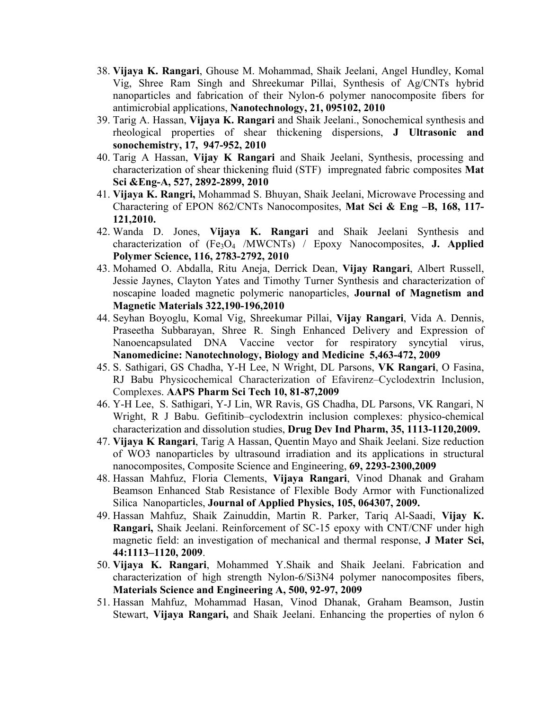- 38. **Vijaya K. Rangari**, Ghouse M. Mohammad, Shaik Jeelani, Angel Hundley, Komal Vig, Shree Ram Singh and Shreekumar Pillai, Synthesis of Ag/CNTs hybrid nanoparticles and fabrication of their Nylon-6 polymer nanocomposite fibers for antimicrobial applications, **Nanotechnology, 21, 095102, 2010**
- 39. Tarig A. Hassan, **Vijaya K. Rangari** and Shaik Jeelani., Sonochemical synthesis and rheological properties of shear thickening dispersions, **J Ultrasonic and sonochemistry, 17, 947-952, 2010**
- 40. Tarig A Hassan, **Vijay K Rangari** and Shaik Jeelani, Synthesis, processing and characterization of shear thickening fluid (STF) impregnated fabric composites **Mat Sci &Eng-A, 527, 2892-2899, 2010**
- 41. **Vijaya K. Rangri,** Mohammad S. Bhuyan, Shaik Jeelani, Microwave Processing and Charactering of EPON 862/CNTs Nanocomposites, **Mat Sci & Eng –B, 168, 117- 121,2010.**
- 42. Wanda D. Jones, **Vijaya K. Rangari** and Shaik Jeelani Synthesis and characterization of (Fe3O4 /MWCNTs) / Epoxy Nanocomposites, **J. Applied Polymer Science, 116, 2783-2792, 2010**
- 43. Mohamed O. Abdalla, Ritu Aneja, Derrick Dean, **Vijay Rangari**, Albert Russell, Jessie Jaynes, Clayton Yates and Timothy Turner Synthesis and characterization of noscapine loaded magnetic polymeric nanoparticles, **Journal of Magnetism and Magnetic Materials 322,190-196,2010**
- 44. Seyhan Boyoglu, Komal Vig, Shreekumar Pillai, **Vijay Rangari**, Vida A. Dennis, Praseetha Subbarayan, Shree R. Singh Enhanced Delivery and Expression of Nanoencapsulated DNA Vaccine vector for respiratory syncytial virus, **Nanomedicine: Nanotechnology, Biology and Medicine 5,463-472, 2009**
- 45. S. Sathigari, GS Chadha, Y-H Lee, N Wright, DL Parsons, **VK Rangari**, O Fasina, RJ Babu Physicochemical Characterization of Efavirenz–Cyclodextrin Inclusion, Complexes. **AAPS Pharm Sci Tech 10, 81-87,2009**
- 46. Y-H Lee, S. Sathigari, Y-J Lin, WR Ravis, GS Chadha, DL Parsons, VK Rangari, N Wright, R J Babu. Gefitinib–cyclodextrin inclusion complexes: physico-chemical characterization and dissolution studies, **Drug Dev Ind Pharm, 35, 1113-1120,2009.**
- 47. **Vijaya K Rangari**, Tarig A Hassan, Quentin Mayo and Shaik Jeelani. Size reduction of WO3 nanoparticles by ultrasound irradiation and its applications in structural nanocomposites, Composite Science and Engineering, **69, 2293-2300,2009**
- 48. Hassan Mahfuz, Floria Clements, **Vijaya Rangari**, Vinod Dhanak and Graham Beamson Enhanced Stab Resistance of Flexible Body Armor with Functionalized Silica Nanoparticles, **Journal of Applied Physics, 105, 064307, 2009.**
- 49. Hassan Mahfuz, Shaik Zainuddin, Martin R. Parker, Tariq Al-Saadi, **Vijay K. Rangari,** Shaik Jeelani. Reinforcement of SC-15 epoxy with CNT/CNF under high magnetic field: an investigation of mechanical and thermal response, **J Mater Sci, 44:1113–1120, 2009**.
- 50. **Vijaya K. Rangari**, Mohammed Y.Shaik and Shaik Jeelani. Fabrication and characterization of high strength Nylon-6/Si3N4 polymer nanocomposites fibers, **Materials Science and Engineering A, 500, 92-97, 2009**
- 51. Hassan Mahfuz, Mohammad Hasan, Vinod Dhanak, Graham Beamson, Justin Stewart, **Vijaya Rangari,** and Shaik Jeelani. Enhancing the properties of nylon 6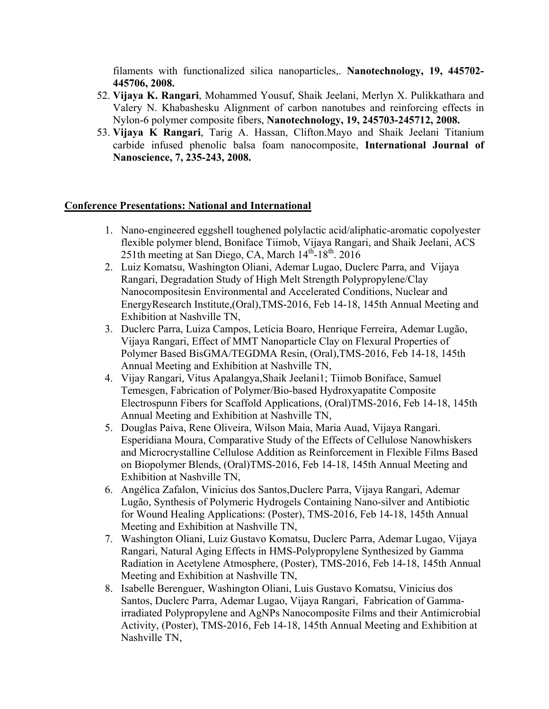filaments with functionalized silica nanoparticles,. **Nanotechnology, 19, 445702- 445706, 2008.**

- 52. **Vijaya K. Rangari**, Mohammed Yousuf, Shaik Jeelani, Merlyn X. Pulikkathara and Valery N. Khabashesku Alignment of carbon nanotubes and reinforcing effects in Nylon-6 polymer composite fibers, **Nanotechnology, 19, 245703-245712, 2008.**
- 53. **Vijaya K Rangari**, Tarig A. Hassan, Clifton.Mayo and Shaik Jeelani Titanium carbide infused phenolic balsa foam nanocomposite, **International Journal of Nanoscience, 7, 235-243, 2008.**

#### **Conference Presentations: National and International**

- 1. Nano-engineered eggshell toughened polylactic acid/aliphatic-aromatic copolyester flexible polymer blend, Boniface Tiimob, Vijaya Rangari, and Shaik Jeelani, ACS 251th meeting at San Diego, CA, March 14<sup>th</sup>-18<sup>th</sup>. 2016
- 2. Luiz Komatsu, Washington Oliani, Ademar Lugao, Duclerc Parra, and Vijaya Rangari, Degradation Study of High Melt Strength Polypropylene/Clay Nanocompositesin Environmental and Accelerated Conditions, Nuclear and EnergyResearch Institute,(Oral),TMS-2016, Feb 14-18, 145th Annual Meeting and Exhibition at Nashville TN,
- 3. Duclerc Parra, Luiza Campos, Letícia Boaro, Henrique Ferreira, Ademar Lugão, Vijaya Rangari, Effect of MMT Nanoparticle Clay on Flexural Properties of Polymer Based BisGMA/TEGDMA Resin, (Oral),TMS-2016, Feb 14-18, 145th Annual Meeting and Exhibition at Nashville TN,
- 4. Vijay Rangari*,* Vitus Apalangya,Shaik Jeelani1; Tiimob Boniface, Samuel Temesgen, Fabrication of Polymer/Bio-based Hydroxyapatite Composite Electrospunn Fibers for Scaffold Applications, (Oral)TMS-2016, Feb 14-18, 145th Annual Meeting and Exhibition at Nashville TN,
- 5. Douglas Paiva, Rene Oliveira, Wilson Maia, Maria Auad, Vijaya Rangari. Esperidiana Moura, Comparative Study of the Effects of Cellulose Nanowhiskers and Microcrystalline Cellulose Addition as Reinforcement in Flexible Films Based on Biopolymer Blends, (Oral)TMS-2016, Feb 14-18, 145th Annual Meeting and Exhibition at Nashville TN,
- 6. Angélica Zafalon, Vinicius dos Santos,Duclerc Parra, Vijaya Rangari, Ademar Lugão, Synthesis of Polymeric Hydrogels Containing Nano-silver and Antibiotic for Wound Healing Applications: (Poster), TMS-2016, Feb 14-18, 145th Annual Meeting and Exhibition at Nashville TN,
- 7. Washington Oliani, Luiz Gustavo Komatsu, Duclerc Parra, Ademar Lugao, Vijaya Rangari, Natural Aging Effects in HMS-Polypropylene Synthesized by Gamma Radiation in Acetylene Atmosphere, (Poster), TMS-2016, Feb 14-18, 145th Annual Meeting and Exhibition at Nashville TN,
- 8. Isabelle Berenguer, Washington Oliani, Luis Gustavo Komatsu, Vinicius dos Santos, Duclerc Parra, Ademar Lugao, Vijaya Rangari, Fabrication of Gammairradiated Polypropylene and AgNPs Nanocomposite Films and their Antimicrobial Activity, (Poster), TMS-2016, Feb 14-18, 145th Annual Meeting and Exhibition at Nashville TN,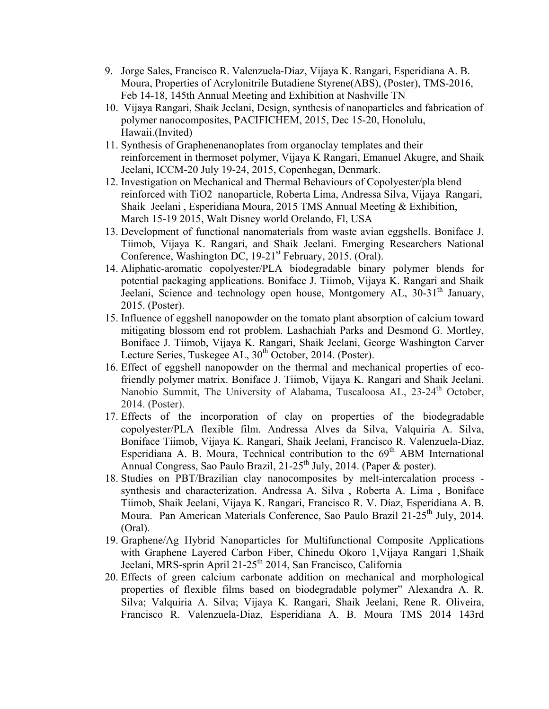- 9. Jorge Sales, Francisco R. Valenzuela-Diaz, Vijaya K. Rangari, Esperidiana A. B. Moura, Properties of Acrylonitrile Butadiene Styrene(ABS), (Poster), TMS-2016, Feb 14-18, 145th Annual Meeting and Exhibition at Nashville TN
- 10. Vijaya Rangari, Shaik Jeelani, Design, synthesis of nanoparticles and fabrication of polymer nanocomposites, PACIFICHEM, 2015, Dec 15-20, Honolulu, Hawaii.(Invited)
- 11. Synthesis of Graphenenanoplates from organoclay templates and their reinforcement in thermoset polymer, Vijaya K Rangari, Emanuel Akugre, and Shaik Jeelani, ICCM-20 July 19-24, 2015, Copenhegan, Denmark.
- 12. Investigation on Mechanical and Thermal Behaviours of Copolyester/pla blend reinforced with TiO2 nanoparticle, Roberta Lima, Andressa Silva, Vijaya Rangari, Shaik Jeelani , Esperidiana Moura, 2015 TMS Annual Meeting & Exhibition, March 15-19 2015, Walt Disney world Orelando, Fl, USA
- 13. Development of functional nanomaterials from waste avian eggshells. Boniface J. Tiimob, Vijaya K. Rangari, and Shaik Jeelani. Emerging Researchers National Conference, Washington DC, 19-21<sup>st</sup> February, 2015. (Oral).
- 14. Aliphatic-aromatic copolyester/PLA biodegradable binary polymer blends for potential packaging applications. Boniface J. Tiimob, Vijaya K. Rangari and Shaik Jeelani, Science and technology open house, Montgomery AL, 30-31<sup>th</sup> January, 2015. (Poster).
- 15. Influence of eggshell nanopowder on the tomato plant absorption of calcium toward mitigating blossom end rot problem. Lashachiah Parks and Desmond G. Mortley, Boniface J. Tiimob, Vijaya K. Rangari, Shaik Jeelani, George Washington Carver Lecture Series, Tuskegee AL, 30<sup>th</sup> October, 2014. (Poster).
- 16. Effect of eggshell nanopowder on the thermal and mechanical properties of ecofriendly polymer matrix. Boniface J. Tiimob, Vijaya K. Rangari and Shaik Jeelani. Nanobio Summit, The University of Alabama, Tuscaloosa AL, 23-24<sup>th</sup> October, 2014. (Poster).
- 17. Effects of the incorporation of clay on properties of the biodegradable copolyester/PLA flexible film. Andressa Alves da Silva, Valquiria A. Silva, Boniface Tiimob, Vijaya K. Rangari, Shaik Jeelani, Francisco R. Valenzuela-Diaz, Esperidiana A. B. Moura, Technical contribution to the  $69<sup>th</sup>$  ABM International Annual Congress, Sao Paulo Brazil, 21-25<sup>th</sup> July, 2014. (Paper & poster).
- 18. Studies on PBT/Brazilian clay nanocomposites by melt-intercalation process synthesis and characterization. Andressa A. Silva , Roberta A. Lima , Boniface Tiimob, Shaik Jeelani, Vijaya K. Rangari, Francisco R. V. Díaz, Esperidiana A. B. Moura. Pan American Materials Conference, Sao Paulo Brazil 21-25<sup>th</sup> July, 2014. (Oral).
- 19. Graphene/Ag Hybrid Nanoparticles for Multifunctional Composite Applications with Graphene Layered Carbon Fiber, Chinedu Okoro 1,Vijaya Rangari 1,Shaik Jeelani, MRS-sprin April 21-25<sup>th</sup> 2014, San Francisco, California
- 20. Effects of green calcium carbonate addition on mechanical and morphological properties of flexible films based on biodegradable polymer" Alexandra A. R. Silva; Valquiria A. Silva; Vijaya K. Rangari, Shaik Jeelani, Rene R. Oliveira, Francisco R. Valenzuela-Diaz, Esperidiana A. B. Moura TMS 2014 143rd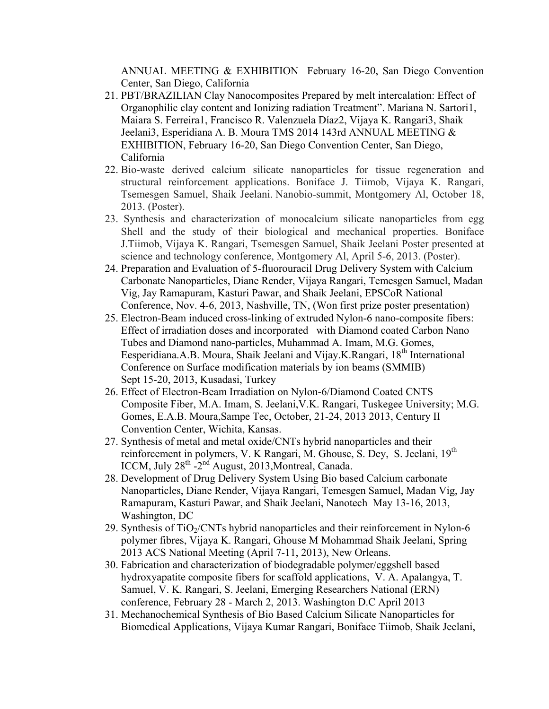ANNUAL MEETING & EXHIBITION February 16-20, San Diego Convention Center, San Diego, California

- 21. PBT/BRAZILIAN Clay Nanocomposites Prepared by melt intercalation: Effect of Organophilic clay content and Ionizing radiation Treatment". Mariana N. Sartori1, Maiara S. Ferreira1, Francisco R. Valenzuela Díaz2, Vijaya K. Rangari3, Shaik Jeelani3, Esperidiana A. B. Moura TMS 2014 143rd ANNUAL MEETING & EXHIBITION, February 16-20, San Diego Convention Center, San Diego, California
- 22. Bio-waste derived calcium silicate nanoparticles for tissue regeneration and structural reinforcement applications. Boniface J. Tiimob, Vijaya K. Rangari, Tsemesgen Samuel, Shaik Jeelani. Nanobio-summit, Montgomery Al, October 18, 2013. (Poster).
- 23. Synthesis and characterization of monocalcium silicate nanoparticles from egg Shell and the study of their biological and mechanical properties. Boniface J.Tiimob, Vijaya K. Rangari, Tsemesgen Samuel, Shaik Jeelani Poster presented at science and technology conference, Montgomery Al, April 5-6, 2013. (Poster).
- 24. Preparation and Evaluation of 5-fluorouracil Drug Delivery System with Calcium Carbonate Nanoparticles, Diane Render, Vijaya Rangari, Temesgen Samuel, Madan Vig, Jay Ramapuram, Kasturi Pawar, and Shaik Jeelani, EPSCoR National Conference, Nov. 4-6, 2013, Nashville, TN, (Won first prize poster presentation)
- 25. Electron-Beam induced cross-linking of extruded Nylon-6 nano-composite fibers: Effect of irradiation doses and incorporated with Diamond coated Carbon Nano Tubes and Diamond nano-particles, Muhammad A. Imam, M.G. Gomes, Eesperidiana.A.B. Moura, Shaik Jeelani and Vijay.K.Rangari, 18<sup>th</sup> International Conference on Surface modification materials by ion beams (SMMIB) Sept 15-20, 2013, Kusadasi, Turkey
- 26. Effect of Electron-Beam Irradiation on Nylon-6/Diamond Coated CNTS Composite Fiber, M.A. Imam, S. Jeelani,V.K. Rangari, Tuskegee University; M.G. Gomes, E.A.B. Moura,Sampe Tec, October, 21-24, 2013 2013, Century II Convention Center, Wichita, Kansas.
- 27. Synthesis of metal and metal oxide/CNTs hybrid nanoparticles and their reinforcement in polymers, V. K Rangari, M. Ghouse, S. Dey, S. Jeelani, 19<sup>th</sup> ICCM, July 28<sup>th</sup> -2<sup>nd</sup> August, 2013, Montreal, Canada.
- 28. Development of Drug Delivery System Using Bio based Calcium carbonate Nanoparticles, Diane Render, Vijaya Rangari, Temesgen Samuel, Madan Vig, Jay Ramapuram, Kasturi Pawar, and Shaik Jeelani, Nanotech May 13-16, 2013, Washington, DC
- 29. Synthesis of  $TiO<sub>2</sub>/CNTs$  hybrid nanoparticles and their reinforcement in Nylon-6 polymer fibres, Vijaya K. Rangari, Ghouse M Mohammad Shaik Jeelani, Spring 2013 ACS National Meeting (April 7-11, 2013), New Orleans.
- 30. Fabrication and characterization of biodegradable polymer/eggshell based hydroxyapatite composite fibers for scaffold applications, V. A. Apalangya, T. Samuel, V. K. Rangari, S. Jeelani, Emerging Researchers National (ERN) conference, February 28 - March 2, 2013. Washington D.C April 2013
- 31. Mechanochemical Synthesis of Bio Based Calcium Silicate Nanoparticles for Biomedical Applications, Vijaya Kumar Rangari, Boniface Tiimob, Shaik Jeelani,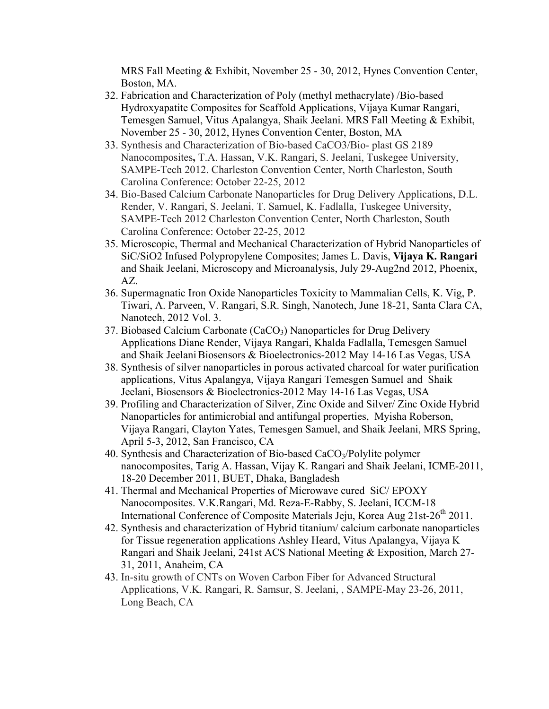MRS Fall Meeting & Exhibit, November 25 - 30, 2012, Hynes Convention Center, Boston, MA.

- 32. Fabrication and Characterization of Poly (methyl methacrylate) /Bio-based Hydroxyapatite Composites for Scaffold Applications, Vijaya Kumar Rangari, Temesgen Samuel, Vitus Apalangya, Shaik Jeelani. MRS Fall Meeting & Exhibit, November 25 - 30, 2012, Hynes Convention Center, Boston, MA
- 33. Synthesis and Characterization of Bio-based CaCO3/Bio- plast GS 2189 Nanocomposites**,** T.A. Hassan, V.K. Rangari, S. Jeelani, Tuskegee University, SAMPE-Tech 2012. Charleston Convention Center, North Charleston, South Carolina Conference: October 22-25, 2012
- 34. Bio-Based Calcium Carbonate Nanoparticles for Drug Delivery Applications, D.L. Render, V. Rangari, S. Jeelani, T. Samuel, K. Fadlalla, Tuskegee University, SAMPE-Tech 2012 Charleston Convention Center, North Charleston, South Carolina Conference: October 22-25, 2012
- 35. Microscopic, Thermal and Mechanical Characterization of Hybrid Nanoparticles of SiC/SiO2 Infused Polypropylene Composites; James L. Davis, **Vijaya K. Rangari** and Shaik Jeelani, Microscopy and Microanalysis, July 29-Aug2nd 2012, Phoenix, AZ.
- 36. Supermagnatic Iron Oxide Nanoparticles Toxicity to Mammalian Cells, K. Vig, P. Tiwari, A. Parveen, V. Rangari, S.R. Singh, Nanotech, June 18-21, Santa Clara CA, Nanotech, 2012 Vol. 3.
- 37. Biobased Calcium Carbonate (CaCO<sub>3</sub>) Nanoparticles for Drug Delivery Applications Diane Render, Vijaya Rangari, Khalda Fadlalla, Temesgen Samuel and Shaik Jeelani Biosensors & Bioelectronics-2012 May 14-16 Las Vegas, USA
- 38. Synthesis of silver nanoparticles in porous activated charcoal for water purification applications, Vitus Apalangya, Vijaya Rangari Temesgen Samuel and Shaik Jeelani, Biosensors & Bioelectronics-2012 May 14-16 Las Vegas, USA
- 39. Profiling and Characterization of Silver, Zinc Oxide and Silver/ Zinc Oxide Hybrid Nanoparticles for antimicrobial and antifungal properties, Myisha Roberson, Vijaya Rangari, Clayton Yates, Temesgen Samuel, and Shaik Jeelani, MRS Spring, April 5-3, 2012, San Francisco, CA
- 40. Synthesis and Characterization of Bio-based CaCO<sub>3</sub>/Polylite polymer nanocomposites, Tarig A. Hassan, Vijay K. Rangari and Shaik Jeelani, ICME-2011, 18-20 December 2011, BUET, Dhaka, Bangladesh
- 41. Thermal and Mechanical Properties of Microwave cured SiC/ EPOXY Nanocomposites. V.K.Rangari, Md. Reza-E-Rabby, S. Jeelani, ICCM-18 International Conference of Composite Materials Jeju, Korea Aug 21st-26<sup>th</sup> 2011.
- 42. Synthesis and characterization of Hybrid titanium/ calcium carbonate nanoparticles for Tissue regeneration applications Ashley Heard, Vitus Apalangya, Vijaya K Rangari and Shaik Jeelani, 241st ACS National Meeting & Exposition, March 27- 31, 2011, Anaheim, CA
- 43. In-situ growth of CNTs on Woven Carbon Fiber for Advanced Structural Applications, V.K. Rangari, R. Samsur, S. Jeelani, , SAMPE-May 23-26, 2011, Long Beach, CA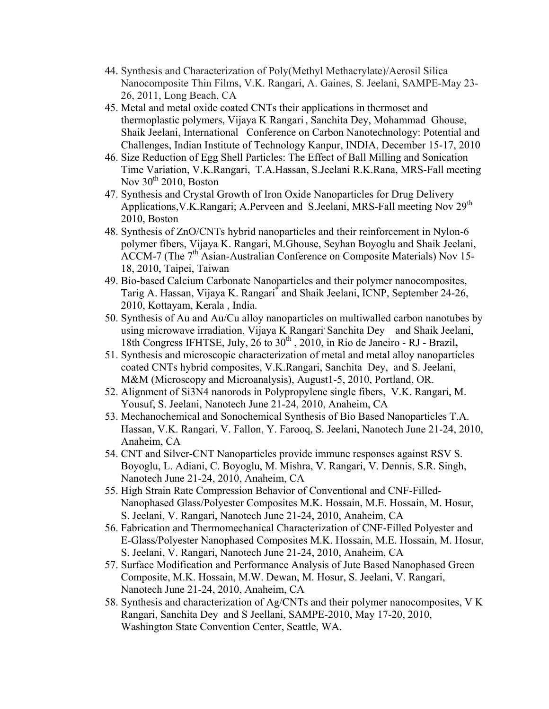- 44. Synthesis and Characterization of Poly(Methyl Methacrylate)/Aerosil Silica Nanocomposite Thin Films, V.K. Rangari, A. Gaines, S. Jeelani, SAMPE-May 23- 26, 2011, Long Beach, CA
- 45. Metal and metal oxide coated CNTs their applications in thermoset and thermoplastic polymers, Vijaya K Rangari , Sanchita Dey, Mohammad Ghouse, Shaik Jeelani, International Conference on Carbon Nanotechnology: Potential and Challenges, Indian Institute of Technology Kanpur, INDIA, December 15-17, 2010
- 46. Size Reduction of Egg Shell Particles: The Effect of Ball Milling and Sonication Time Variation, V.K.Rangari, T.A.Hassan, S.Jeelani R.K.Rana, MRS-Fall meeting Nov  $30^{th}$  2010, Boston
- 47. Synthesis and Crystal Growth of Iron Oxide Nanoparticles for Drug Delivery Applications, V.K.Rangari; A.Perveen and S.Jeelani, MRS-Fall meeting Nov 29<sup>th</sup> 2010, Boston
- 48. Synthesis of ZnO/CNTs hybrid nanoparticles and their reinforcement in Nylon-6 polymer fibers, Vijaya K. Rangari, M.Ghouse, Seyhan Boyoglu and Shaik Jeelani, ACCM-7 (The 7<sup>th</sup> Asian-Australian Conference on Composite Materials) Nov 15-18, 2010, Taipei, Taiwan
- 49. Bio-based Calcium Carbonate Nanoparticles and their polymer nanocomposites, Tarig A. Hassan, Vijaya K. Rangari\* and Shaik Jeelani, ICNP, September 24-26, 2010, Kottayam, Kerala , India.
- 50. Synthesis of Au and Au/Cu alloy nanoparticles on multiwalled carbon nanotubes by using microwave irradiation, Vijaya K Rangari<sup>,</sup> Sanchita Dey and Shaik Jeelani, 18th Congress IFHTSE, July, 26 to 30<sup>th</sup>, 2010, in Rio de Janeiro - RJ - Brazil,
- 51. Synthesis and microscopic characterization of metal and metal alloy nanoparticles coated CNTs hybrid composites, V.K.Rangari, Sanchita Dey, and S. Jeelani, M&M (Microscopy and Microanalysis), August1-5, 2010, Portland, OR.
- 52. Alignment of Si3N4 nanorods in Polypropylene single fibers, V.K. Rangari, M. Yousuf, S. Jeelani, Nanotech June 21-24, 2010, Anaheim, CA
- 53. Mechanochemical and Sonochemical Synthesis of Bio Based Nanoparticles T.A. Hassan, V.K. Rangari, V. Fallon, Y. Farooq, S. Jeelani, Nanotech June 21-24, 2010, Anaheim, CA
- 54. CNT and Silver-CNT Nanoparticles provide immune responses against RSV S. Boyoglu, L. Adiani, C. Boyoglu, M. Mishra, V. Rangari, V. Dennis, S.R. Singh, Nanotech June 21-24, 2010, Anaheim, CA
- 55. High Strain Rate Compression Behavior of Conventional and CNF-Filled-Nanophased Glass/Polyester Composites M.K. Hossain, M.E. Hossain, M. Hosur, S. Jeelani, V. Rangari, Nanotech June 21-24, 2010, Anaheim, CA
- 56. Fabrication and Thermomechanical Characterization of CNF-Filled Polyester and E-Glass/Polyester Nanophased Composites M.K. Hossain, M.E. Hossain, M. Hosur, S. Jeelani, V. Rangari, Nanotech June 21-24, 2010, Anaheim, CA
- 57. Surface Modification and Performance Analysis of Jute Based Nanophased Green Composite, M.K. Hossain, M.W. Dewan, M. Hosur, S. Jeelani, V. Rangari, Nanotech June 21-24, 2010, Anaheim, CA
- 58. Synthesis and characterization of Ag/CNTs and their polymer nanocomposites, V K Rangari, Sanchita Dey and S Jeellani, SAMPE-2010, May 17-20, 2010, Washington State Convention Center, Seattle, WA.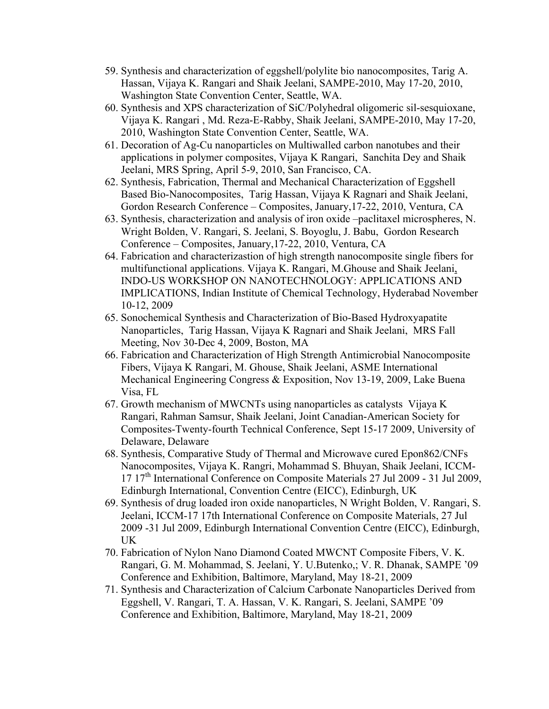- 59. Synthesis and characterization of eggshell/polylite bio nanocomposites, Tarig A. Hassan, Vijaya K. Rangari and Shaik Jeelani, SAMPE-2010, May 17-20, 2010, Washington State Convention Center, Seattle, WA.
- 60. Synthesis and XPS characterization of SiC/Polyhedral oligomeric sil-sesquioxane, Vijaya K. Rangari , Md. Reza-E-Rabby, Shaik Jeelani, SAMPE-2010, May 17-20, 2010, Washington State Convention Center, Seattle, WA.
- 61. Decoration of Ag-Cu nanoparticles on Multiwalled carbon nanotubes and their applications in polymer composites, Vijaya K Rangari, Sanchita Dey and Shaik Jeelani, MRS Spring, April 5-9, 2010, San Francisco, CA.
- 62. Synthesis, Fabrication, Thermal and Mechanical Characterization of Eggshell Based Bio-Nanocomposites, Tarig Hassan, Vijaya K Ragnari and Shaik Jeelani, Gordon Research Conference – Composites, January,17-22, 2010, Ventura, CA
- 63. Synthesis, characterization and analysis of iron oxide –paclitaxel microspheres, N. Wright Bolden, V. Rangari, S. Jeelani, S. Boyoglu, J. Babu, Gordon Research Conference – Composites, January,17-22, 2010, Ventura, CA
- 64. Fabrication and characterizastion of high strength nanocomposite single fibers for multifunctional applications. Vijaya K. Rangari, M.Ghouse and Shaik Jeelani, INDO-US WORKSHOP ON NANOTECHNOLOGY: APPLICATIONS AND IMPLICATIONS, Indian Institute of Chemical Technology, Hyderabad November 10-12, 2009
- 65. Sonochemical Synthesis and Characterization of Bio-Based Hydroxyapatite Nanoparticles, Tarig Hassan, Vijaya K Ragnari and Shaik Jeelani, MRS Fall Meeting, Nov 30-Dec 4, 2009, Boston, MA
- 66. Fabrication and Characterization of High Strength Antimicrobial Nanocomposite Fibers, Vijaya K Rangari, M. Ghouse, Shaik Jeelani, ASME International Mechanical Engineering Congress & Exposition, Nov 13-19, 2009, Lake Buena Visa, FL
- 67. Growth mechanism of MWCNTs using nanoparticles as catalysts Vijaya K Rangari, Rahman Samsur, Shaik Jeelani, Joint Canadian-American Society for Composites-Twenty-fourth Technical Conference, Sept 15-17 2009, University of Delaware, Delaware
- 68. Synthesis, Comparative Study of Thermal and Microwave cured Epon862/CNFs Nanocomposites, Vijaya K. Rangri, Mohammad S. Bhuyan, Shaik Jeelani, ICCM-17 17th International Conference on Composite Materials 27 Jul 2009 - 31 Jul 2009, Edinburgh International, Convention Centre (EICC), Edinburgh, UK
- 69. Synthesis of drug loaded iron oxide nanoparticles, N Wright Bolden, V. Rangari, S. Jeelani, ICCM-17 17th International Conference on Composite Materials, 27 Jul 2009 -31 Jul 2009, Edinburgh International Convention Centre (EICC), Edinburgh, UK
- 70. Fabrication of Nylon Nano Diamond Coated MWCNT Composite Fibers, V. K. Rangari, G. M. Mohammad, S. Jeelani, Y. U.Butenko,; V. R. Dhanak, SAMPE '09 Conference and Exhibition, Baltimore, Maryland, May 18-21, 2009
- 71. Synthesis and Characterization of Calcium Carbonate Nanoparticles Derived from Eggshell, V. Rangari, T. A. Hassan, V. K. Rangari, S. Jeelani, SAMPE '09 Conference and Exhibition, Baltimore, Maryland, May 18-21, 2009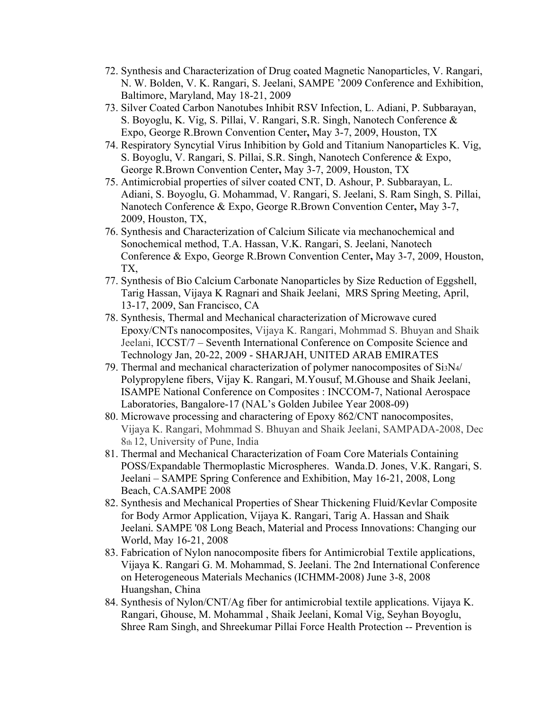- 72. Synthesis and Characterization of Drug coated Magnetic Nanoparticles, V. Rangari, N. W. Bolden, V. K. Rangari, S. Jeelani, SAMPE '2009 Conference and Exhibition, Baltimore, Maryland, May 18-21, 2009
- 73. Silver Coated Carbon Nanotubes Inhibit RSV Infection, L. Adiani, P. Subbarayan, S. Boyoglu, K. Vig, S. Pillai, V. Rangari, S.R. Singh, Nanotech Conference & Expo, George R.Brown Convention Center**,** May 3-7, 2009, Houston, TX
- 74. Respiratory Syncytial Virus Inhibition by Gold and Titanium Nanoparticles K. Vig, S. Boyoglu, V. Rangari, S. Pillai, S.R. Singh, Nanotech Conference & Expo, George R.Brown Convention Center**,** May 3-7, 2009, Houston, TX
- 75. Antimicrobial properties of silver coated CNT, D. Ashour, P. Subbarayan, L. Adiani, S. Boyoglu, G. Mohammad, V. Rangari, S. Jeelani, S. Ram Singh, S. Pillai, Nanotech Conference & Expo, George R.Brown Convention Center**,** May 3-7, 2009, Houston, TX,
- 76. Synthesis and Characterization of Calcium Silicate via mechanochemical and Sonochemical method, T.A. Hassan, V.K. Rangari, S. Jeelani, Nanotech Conference & Expo, George R.Brown Convention Center**,** May 3-7, 2009, Houston, TX,
- 77. Synthesis of Bio Calcium Carbonate Nanoparticles by Size Reduction of Eggshell, Tarig Hassan, Vijaya K Ragnari and Shaik Jeelani, MRS Spring Meeting, April, 13-17, 2009, San Francisco, CA
- 78. Synthesis, Thermal and Mechanical characterization of Microwave cured Epoxy/CNTs nanocomposites, Vijaya K. Rangari, Mohmmad S. Bhuyan and Shaik Jeelani, ICCST/7 – Seventh International Conference on Composite Science and Technology Jan, 20-22, 2009 - SHARJAH, UNITED ARAB EMIRATES
- 79. Thermal and mechanical characterization of polymer nanocomposites of Si3N4/ Polypropylene fibers, Vijay K. Rangari, M.Yousuf, M.Ghouse and Shaik Jeelani, ISAMPE National Conference on Composites : INCCOM-7, National Aerospace Laboratories, Bangalore-17 (NAL's Golden Jubilee Year 2008-09)
- 80. Microwave processing and charactering of Epoxy 862/CNT nanocomposites, Vijaya K. Rangari, Mohmmad S. Bhuyan and Shaik Jeelani, SAMPADA-2008, Dec 8th 12, University of Pune, India
- 81. Thermal and Mechanical Characterization of Foam Core Materials Containing POSS/Expandable Thermoplastic Microspheres. Wanda.D. Jones, V.K. Rangari, S. Jeelani – SAMPE Spring Conference and Exhibition, May 16-21, 2008, Long Beach, CA.SAMPE 2008
- 82. Synthesis and Mechanical Properties of Shear Thickening Fluid/Kevlar Composite for Body Armor Application, Vijaya K. Rangari, Tarig A. Hassan and Shaik Jeelani*.* SAMPE '08 Long Beach, Material and Process Innovations: Changing our World, May 16-21, 2008
- 83. Fabrication of Nylon nanocomposite fibers for Antimicrobial Textile applications, Vijaya K. Rangari G. M. Mohammad, S. Jeelani. The 2nd International Conference on Heterogeneous Materials Mechanics (ICHMM-2008) June 3-8, 2008 Huangshan, China
- 84. Synthesis of Nylon/CNT/Ag fiber for antimicrobial textile applications. Vijaya K. Rangari, Ghouse, M. Mohammal , Shaik Jeelani, Komal Vig, Seyhan Boyoglu, Shree Ram Singh, and Shreekumar Pillai Force Health Protection -- Prevention is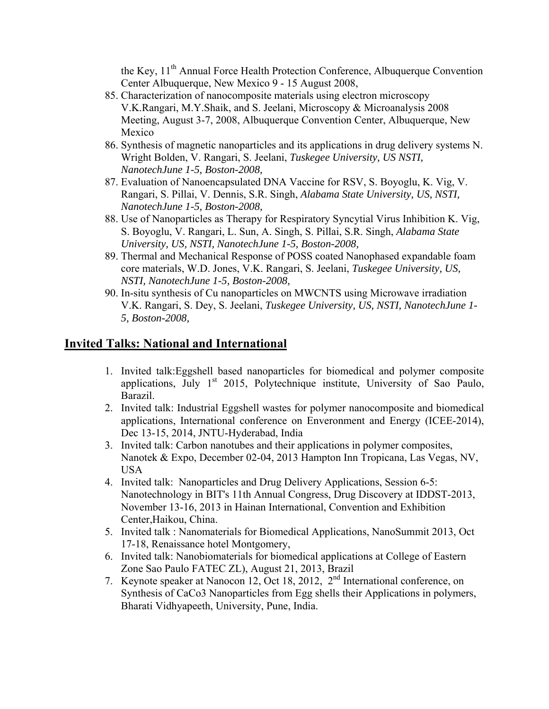the Key, 11<sup>th</sup> Annual Force Health Protection Conference, Albuquerque Convention Center Albuquerque, New Mexico 9 - 15 August 2008,

- 85. Characterization of nanocomposite materials using electron microscopy V.K.Rangari, M.Y.Shaik, and S. Jeelani, Microscopy & Microanalysis 2008 Meeting, August 3-7, 2008, Albuquerque Convention Center, Albuquerque, New Mexico
- 86. Synthesis of magnetic nanoparticles and its applications in drug delivery systems N. Wright Bolden, V. Rangari, S. Jeelani, *Tuskegee University, US NSTI, NanotechJune 1-5, Boston-2008,*
- 87. Evaluation of Nanoencapsulated DNA Vaccine for RSV, S. Boyoglu, K. Vig, V. Rangari, S. Pillai, V. Dennis, S.R. Singh, *Alabama State University, US, NSTI, NanotechJune 1-5, Boston-2008,*
- 88. Use of Nanoparticles as Therapy for Respiratory Syncytial Virus Inhibition K. Vig, S. Boyoglu, V. Rangari, L. Sun, A. Singh, S. Pillai, S.R. Singh, *Alabama State University, US, NSTI, NanotechJune 1-5, Boston-2008,*
- 89. Thermal and Mechanical Response of POSS coated Nanophased expandable foam core materials, W.D. Jones, V.K. Rangari, S. Jeelani, *Tuskegee University, US, NSTI, NanotechJune 1-5, Boston-2008,*
- 90. In-situ synthesis of Cu nanoparticles on MWCNTS using Microwave irradiation V.K. Rangari, S. Dey, S. Jeelani, *Tuskegee University, US, NSTI, NanotechJune 1- 5, Boston-2008,*

# **Invited Talks: National and International**

- 1. Invited talk:Eggshell based nanoparticles for biomedical and polymer composite applications, July  $1<sup>st</sup>$  2015, Polytechnique institute, University of Sao Paulo, Barazil.
- 2. Invited talk: Industrial Eggshell wastes for polymer nanocomposite and biomedical applications, International conference on Enveronment and Energy (ICEE-2014), Dec 13-15, 2014, JNTU-Hyderabad, India
- 3. Invited talk: Carbon nanotubes and their applications in polymer composites, Nanotek & Expo, December 02-04, 2013 Hampton Inn Tropicana, Las Vegas, NV, USA
- 4. Invited talk: Nanoparticles and Drug Delivery Applications, Session 6-5: Nanotechnology in BIT's 11th Annual Congress, Drug Discovery at IDDST-2013, November 13-16, 2013 in Hainan International, Convention and Exhibition Center,Haikou, China.
- 5. Invited talk : Nanomaterials for Biomedical Applications, NanoSummit 2013, Oct 17-18, Renaissance hotel Montgomery,
- 6. Invited talk: Nanobiomaterials for biomedical applications at College of Eastern Zone Sao Paulo FATEC ZL), August 21, 2013, Brazil
- 7. Keynote speaker at Nanocon 12, Oct 18, 2012, 2nd International conference, on Synthesis of CaCo3 Nanoparticles from Egg shells their Applications in polymers, Bharati Vidhyapeeth, University, Pune, India.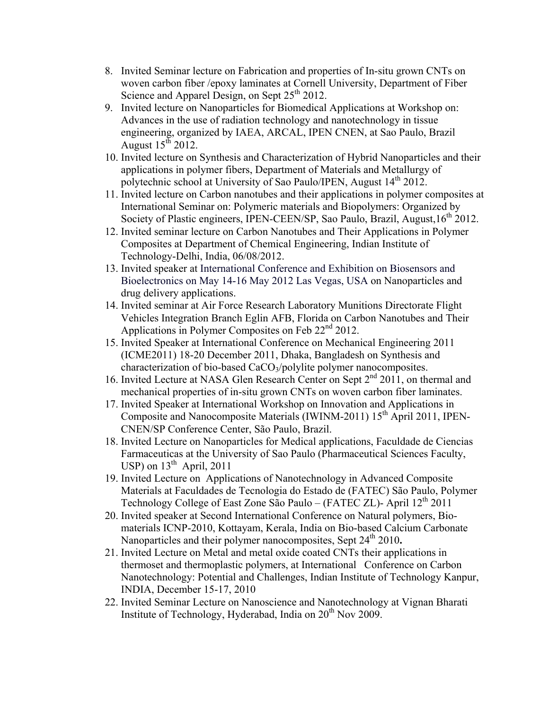- 8. Invited Seminar lecture on Fabrication and properties of In-situ grown CNTs on woven carbon fiber /epoxy laminates at Cornell University, Department of Fiber Science and Apparel Design, on Sept  $25<sup>th</sup> 2012$ .
- 9. Invited lecture on Nanoparticles for Biomedical Applications at Workshop on: Advances in the use of radiation technology and nanotechnology in tissue engineering, organized by IAEA, ARCAL, IPEN CNEN, at Sao Paulo, Brazil August  $15^{th}$  2012.
- 10. Invited lecture on Synthesis and Characterization of Hybrid Nanoparticles and their applications in polymer fibers, Department of Materials and Metallurgy of polytechnic school at University of Sao Paulo/IPEN, August 14<sup>th</sup> 2012.
- 11. Invited lecture on Carbon nanotubes and their applications in polymer composites at International Seminar on: Polymeric materials and Biopolymers: Organized by Society of Plastic engineers, IPEN-CEEN/SP, Sao Paulo, Brazil, August, 16<sup>th</sup> 2012.
- 12. Invited seminar lecture on Carbon Nanotubes and Their Applications in Polymer Composites at Department of Chemical Engineering, Indian Institute of Technology-Delhi, India, 06/08/2012.
- 13. Invited speaker at International Conference and Exhibition on Biosensors and Bioelectronics on May 14-16 May 2012 Las Vegas, USA on Nanoparticles and drug delivery applications.
- 14. Invited seminar at Air Force Research Laboratory Munitions Directorate Flight Vehicles Integration Branch Eglin AFB, Florida on Carbon Nanotubes and Their Applications in Polymer Composites on Feb  $22<sup>nd</sup> 2012$ .
- 15. Invited Speaker at International Conference on Mechanical Engineering 2011 (ICME2011) 18-20 December 2011, Dhaka, Bangladesh on Synthesis and characterization of bio-based CaCO3/polylite polymer nanocomposites.
- 16. Invited Lecture at NASA Glen Research Center on Sept 2<sup>nd</sup> 2011, on thermal and mechanical properties of in-situ grown CNTs on woven carbon fiber laminates.
- 17. Invited Speaker at International Workshop on Innovation and Applications in Composite and Nanocomposite Materials (IWINM-2011) 15<sup>th</sup> April 2011, IPEN-CNEN/SP Conference Center, São Paulo, Brazil.
- 18. Invited Lecture on Nanoparticles for Medical applications, Faculdade de Ciencias Farmaceuticas at the University of Sao Paulo (Pharmaceutical Sciences Faculty, USP) on  $13^{\text{th}}$  April, 2011
- 19. Invited Lecture on Applications of Nanotechnology in Advanced Composite Materials at Faculdades de Tecnologia do Estado de (FATEC) São Paulo, Polymer Technology College of East Zone São Paulo – (FATEC ZL)- April 12<sup>th</sup> 2011
- 20. Invited speaker at Second International Conference on Natural polymers, Biomaterials ICNP-2010, Kottayam, Kerala, India on Bio-based Calcium Carbonate Nanoparticles and their polymer nanocomposites, Sept 24<sup>th</sup> 2010.
- 21. Invited Lecture on Metal and metal oxide coated CNTs their applications in thermoset and thermoplastic polymers, at International Conference on Carbon Nanotechnology: Potential and Challenges, Indian Institute of Technology Kanpur, INDIA, December 15-17, 2010
- 22. Invited Seminar Lecture on Nanoscience and Nanotechnology at Vignan Bharati Institute of Technology, Hyderabad, India on 20<sup>th</sup> Nov 2009.